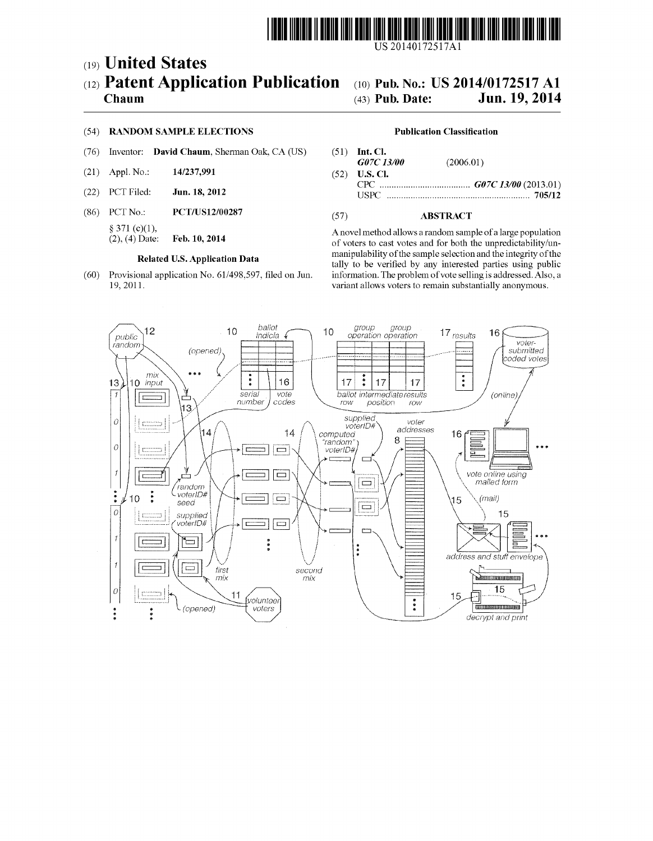

US 20140172517A1

# (19) United States (12) Patent Application Publication

## Chaum

### (54) RANDOM SAMPLE ELECTIONS

- Inventor: David Chaum, Sherman Oak, CA (US)  $(76)$
- 14/237,991  $(21)$  Appl. No.:
- (22) PCT Filed: Jun. 18, 2012
- $(86)$  PCT No.: PCT/US12/00287 § 371 $(c)(1)$ ,
	- $(2)$ ,  $(4)$  Date: Feb. 10, 2014

#### **Related U.S. Application Data**

(60) Provisional application No. 61/498,597, filed on Jun. 19, 2011.

#### (10) Pub. No.: US 2014/0172517 A1 Jun. 19, 2014 (43) Pub. Date:

#### **Publication Classification**

- $(51)$  Int. Cl.  $G07C$  13/00  $(2006.01)$  $(52)$ U.S. Cl.
- 

#### $(57)$ **ABSTRACT**

A novel method allows a random sample of a large population of voters to cast votes and for both the unpredictability/unmanipulability of the sample selection and the integrity of the tally to be verified by any interested parties using public information. The problem of vote selling is addressed. Also, a variant allows voters to remain substantially anonymous.

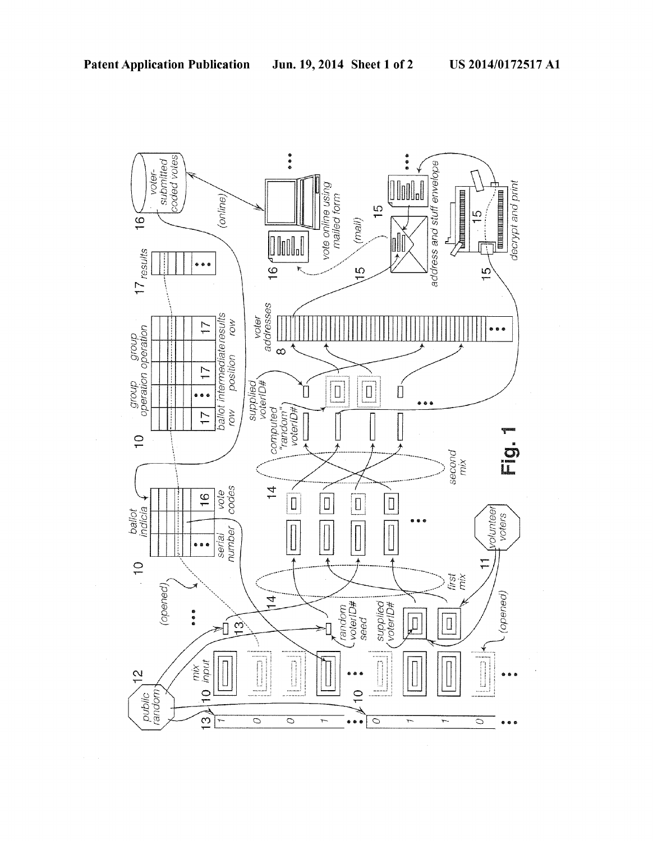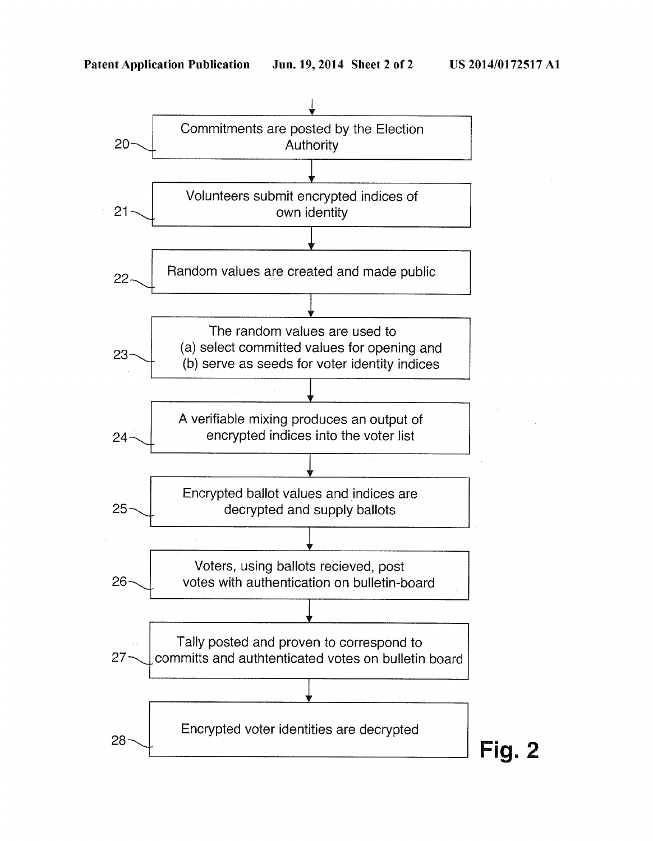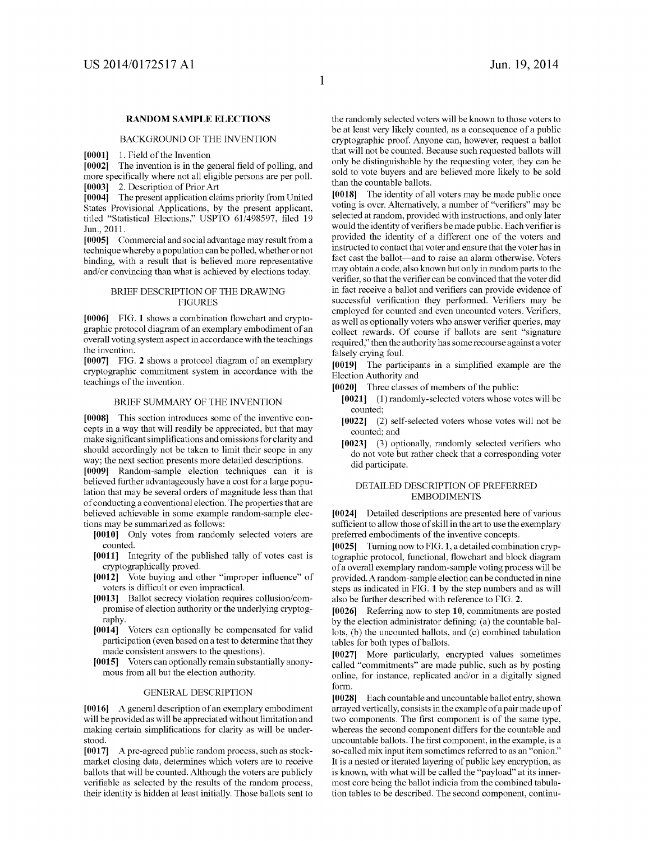#### $\mathbf{1}$

#### RANDOM SAMPLE ELECTIONS

#### BACKGROUND OF THE INVENTION

[0001] 1. Field of the Invention

[0002] The invention is in the general field of polling, and more specifically where not all eligible persons are per poll. [0003] 2. Description of PriorArt

[0004] The present application claims priority from United States Provisional Applications, by the present applicant, titled "Statistical Elections," USPTO 61/498597, filed 19 Jun., 2011.

[0005] Commercial and social advantage may result from a technique whereby a population can be polled, whether or not binding, with a result that is believed more representative and/or convincing than what is achieved by elections today.

#### BRIEF DESCRIPTION OF THE DRAWING **FIGURES**

 $[0006]$  FIG. 1 shows a combination flowchart and cryptographic protocol diagram of an exemplary embodiment of an overall voting system aspect in accordance with the teachings the invention.

[0007] FIG. 2 shows a protocol diagram of an exemplary cryptographic commitment system in accordance with the teachings of the invention.

#### BRIEF SUMMARY OF THE INVENTION

[0008] This section introduces some of the inventive con cepts in a way that will readily be appreciated, but that may make significant simplifications and omissions for clarity and should accordingly not be taken to limit their scope in any way; the next section presents more detailed descriptions.

[0009] Random-sample election techniques can it is believed further advantageously have a cost for a large popu lation that may be several orders of magnitude less than that of conducting a conventional election. The properties that are believed achievable in some example random-sample elec tions may be summarized as follows:

[0010] Only votes from randomly selected voters are counted.

- [0011] Integrity of the published tally of votes cast is cryptographically proved.
- [0012] Vote buying and other "improper influence" of voters is difficult or even impractical.
- [0013] Ballot secrecy violation requires collusion/com promise of election authority or the underlying cryptog raphy.
- [0014] Voters can optionally be compensated for valid participation (even based on a test to determine that they made consistent answers to the questions).
- [0015] Voters can optionally remain substantially anony mous from all but the election authority.

#### GENERAL DESCRIPTION

[0016] A general description of an exemplary embodiment will be provided as will be appreciated without limitation and making certain simplifications for clarity as will be understood.

[0017] A pre-agreed public random process, such as stock market closing data, determines which voters are to receive ballots that will be counted. Although the voters are publicly verifiable as selected by the results of the random process, their identity is hidden at least initially. Those ballots sent to the randomly selected voters will be known to those voters to be at least very likely counted, as a consequence of a public cryptographic proof. Anyone can, however, request a ballot that will not be counted. Because such requested ballots will only be distinguishable by the requesting voter, they can be sold to vote buyers and are believed more likely to be sold than the countable ballots.

[0018] The identity of all voters may be made public once voting is over. Alternatively, a number of "verifiers" may be selected at random, provided with instructions, and only later would the identity of verifiers be made public. Each verifier is provided the identity of a different one of the voters and instructed to contact that voter and ensure that the voter has in fact cast the ballot—and to raise an alarm otherwise. Voters may obtain a code, also known but only in random parts to the verifier, so that the verifier can be convinced that the voter did in fact receive a ballot and verifiers can provide evidence of successful verification they performed. Verifiers may be employed for counted and even uncounted voters. Verifiers, as well as optionally voters who answer verifier queries, may collect rewards. Of course if ballots are sent "signature required," then the authority has some recourse against a voter falsely crying foul.

[0019] The participants in a simplified example are the Election Authority and

[0020] Three classes of members of the public:

- [0021] (1) randomly-selected voters whose votes will be counted;
- [0022] (2) self-selected voters whose votes will not be counted; and
- $[0023]$  (3) optionally, randomly selected verifiers who do not vote but rather check that a corresponding voter did participate.

#### DETAILED DESCRIPTION OF PREFERRED EMBODIMENTS

[0024] Detailed descriptions are presented here of various sufficient to allow those of skill in the art to use the exemplary preferred embodiments of the inventive concepts.

[0025] Turning now to FIG. 1, a detailed combination cryp tographic protocol, functional, flowchart and block diagram of a overall exemplary random-sample voting process will be provided. A random- sample election can be conducted in nine steps as indicated in FIG. 1 by the step numbers and as will also be further described with reference to FIG. 2.

[0026] Referring now to step 10, commitments are posted by the election administrator defining: (a) the countable ballots, (b) the uncounted ballots, and (c) combined tabulation tables for both types of ballots.

[0027] More particularly, encrypted values sometimes called "commitments" are made public, such as by posting online, for instance, replicated and/or in a digitally signed form.

[0028] Each countable and uncountable ballot entry, shown arrayed vertically, consists in the example of a pair made up of two components. The first component is of the same type, whereas the second component differs for the countable and uncountable ballots. The first component, in the example, is a so-called mix input item sometimes referred to as an "onion." It is a nested or iterated layering of public key encryption, as is known, with what will be called the "payload" at its inner most core being the ballot indicia from the combined tabula tion tables to be described. The second component, continu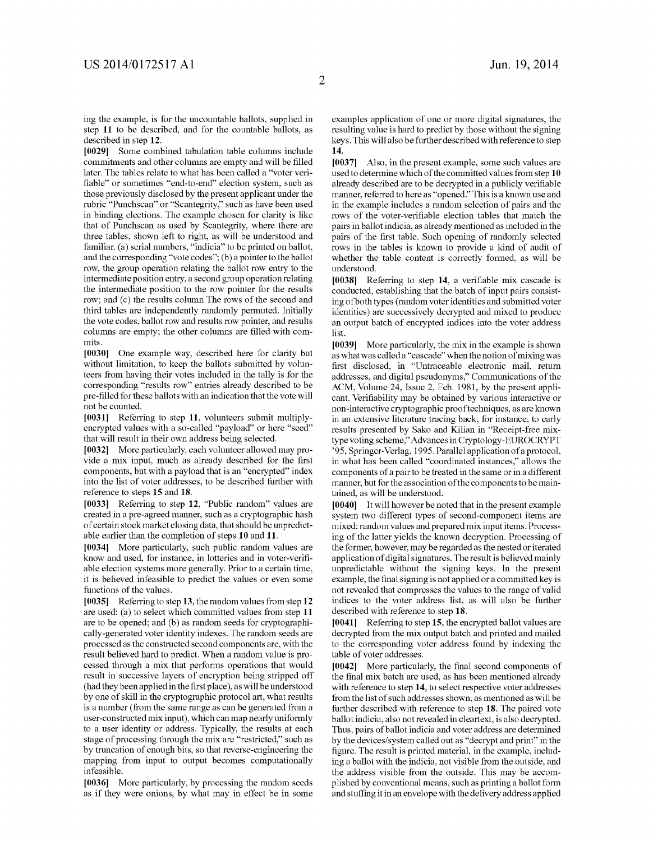ing the example, is for the uncountable ballots, supplied in step 11 to be described, and for the countable ballots, as described in step 12.

[0029] Some combined tabulation table columns include commitments and other columns are empty and will be filled later. The tables relate to what has been called a "voter veri fiable" or sometimes "end-to-end" election system, such as those previously disclosed by the present applicant under the rubric "Punchscan" or "Scantegrity," such as have been used in binding elections. The example chosen for clarity is like that of Punchscan as used by Scantegrity, where there are three tables, shown left to right, as will be understood and familiar. (a) serial numbers, "indicia" to be printed on ballot, and the corresponding "vote codes"; (b) a pointer to the ballot row, the group operation relating the ballot row entry to the intermediate position entry, a second group operation relating the intermediate position to the row pointer for the results row; and (c) the results column The rows of the second and third tables are independently randomly permuted. Initially the vote codes, ballot row and results row pointer, and results columns are empty; the other columns are filled with commits.

[0030] One example way, described here for clarity but without limitation, to keep the ballots submitted by volun teers from having their votes included in the tally is for the corresponding "results row" entries already described to be pre-filled for these ballots with an indication that the vote will not be counted.

[0031] Referring to step 11, volunteers submit multiplyencrypted values with a so-called "payload" or here "seed" that will result in their own address being selected.

[0032] More particularly, each volunteer allowed may provide a mix input, much as already described for the first components, but with a payload that is an "encrypted" index into the list of voter addresses, to be described further with reference to steps 15 and 18.

[0033] Referring to step 12, "Public random" values are created in a pre-agreed manner, such as a cryptographic hash of certain stock market closing data, that should be unpredict able earlier than the completion of steps 10 and 11.

[0034] More particularly, such public random values are know and used, for instance, in lotteries and in voter-verifiable election systems more generally. Prior to a certain time, it is believed infeasible to predict the values or even some functions of the values.

[0035] Referring to step 13, the random values from step 12 are used: (a) to select which committed values from step 11 are to be opened; and (b) as random seeds for cryptographi cally-generated voter identity indexes. The random seeds are processed as the constructed second components are, with the result believed hard to predict. When a random value is pro cessed through a mix that performs operations that would result in successive layers of encryption being stripped off (had they been applied in the first place), as will be understood by one of skill in the cryptographic protocol art, what results is a number (from the same range as can be generated from a user-constructed mix input), which can map nearly uniformly to a user identity or address. Typically, the results at each stage of processing through the mix are "restricted," such as by truncation of enough bits, so that reverse-engineering the mapping from input to output becomes computationally infeasible.

[0036] More particularly, by processing the random seeds as if they were onions, by what may in effect be in some

examples application of one or more digital signatures, the resulting value is hard to predict by those without the signing keys. This will also be further described with reference to step 14.

[0037] Also, in the present example, some such values are used to determine which of the committed values from step 10 already described are to be decrypted in a publicly verifiable manner, referred to here as "opened." This is a known use and in the example includes a random selection of pairs and the rows of the voter-verifiable election tables that match the pairs in ballot indicia, as already mentioned as included in the pairs of the first table. Such opening of randomly selected rows in the tables is known to provide a kind of audit of whether the table content is correctly formed, as will be understood.

[0038] Referring to step 14, a verifiable mix cascade is conducted, establishing that the batch of input pairs consist ing of both types (random voter identities and submitted voter identities) are successively decrypted and mixed to produce an output batch of encrypted indices into the voter address list.

[0039] More particularly, the mix in the example is shown as what was called a "cascade" when the notion of mixing was first disclosed, in "Untraceable electronic mail, return addresses, and digital pseudonyms," Communications of the ACM, Volume 24, Issue 2, Feb. 1981, by the present appli cant. Verifiability may be obtained by various interactive or non-interactive cryptographic proof techniques, as are known in an extensive literature tracing back, for instance, to early results presented by Sako and Kilian in "Receipt-free mix type voting scheme," Advances in Cryptology-EUROCRYPT '95, Springer-Verlag, 1995. Parallel application of a protocol, in what has been called "coordinated instances," allows the components of a pair to be treated in the same or in a different manner, but for the association of the components to be main tained, as will be understood.

[0040] It will however be noted that in the present example system two different types of second-component items are mixed: random values and prepared mix input items. Process ing of the latter yields the known decryption. Processing of the former, however, may be regarded as the nested or iterated application of digital signatures. The result is believed mainly unpredictable without the signing keys. In the present example, the final signing is not applied or a committed key is not revealed that compresses the values to the range of valid indices to the voter address list, as will also be further described with reference to step 18.

[0041] Referring to step 15, the encrypted ballot values are decrypted from the mix output batch and printed and mailed to the corresponding voter address found by indexing the table of voter addresses.

[0042] More particularly, the final second components of the final mix batch are used, as has been mentioned already with reference to step 14, to select respective voter addresses from the list of such addresses shown, as mentioned as will be further described with reference to step 18. The paired vote ballot indicia, also not revealed in cleartext, is also decrypted. Thus, pairs of ballot indicia and voter address are determined by the devices/system called out as "decrypt and print" in the figure. The result is printed material, in the example, including a ballot with the indicia, not visible from the outside, and the address visible from the outside. This may be accom plished by conventional means, such as printing a ballot form and stuffing it in an envelope with the delivery address applied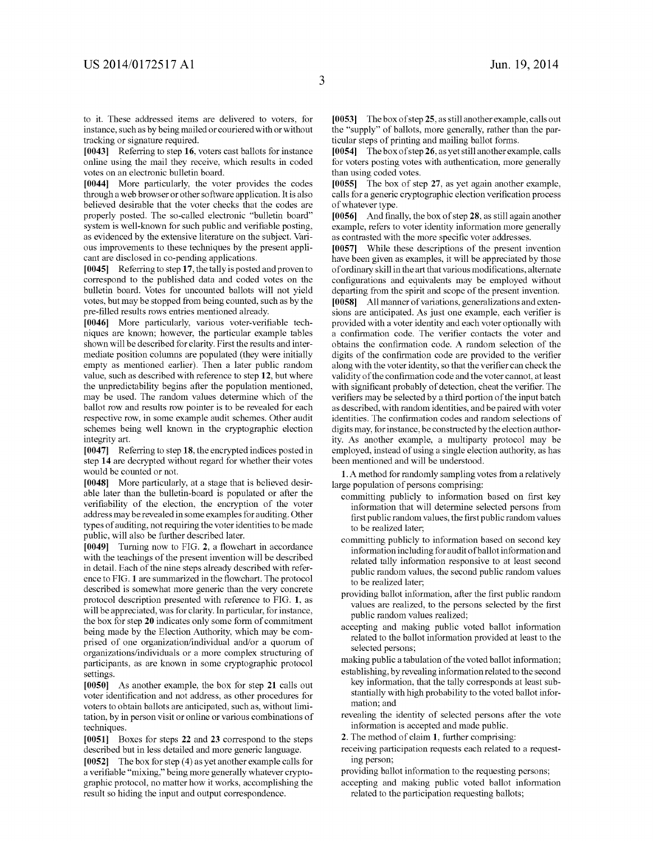to it. These addressed items are delivered to voters, for instance, such as by being mailed or couriered with or without tracking or signature required.

[0043] Referring to step 16, voters cast ballots for instance online using the mail they receive, which results in coded votes on an electronic bulletin board.

[0044] More particularly, the voter provides the codes through a web browser or other software application. It is also believed desirable that the voter checks that the codes are properly posted. The so-called electronic "bulletin board" system is well-known for such public and verifiable posting, as evidenced by the extensive literature on the subject. Vari ous improvements to these techniques by the present appli cant are disclosed in co-pending applications.

[0045] Referring to step 17, the tally is posted and proven to correspond to the published data and coded votes on the bulletin board. Votes for uncounted ballots will not yield votes, but may be stopped from being counted, such as by the pre-filled results rows entries mentioned already.

[0046] More particularly, various voter-verifiable techniques are known; however, the particular example tables shown will be described for clarity. First the results and inter mediate position columns are populated (they were initially empty as mentioned earlier). Then a later public random value, such as described with reference to step 12, but where the unpredictability begins after the population mentioned, may be used. The random values determine which of the ballot row and results row pointer is to be revealed for each respective row, in some example audit schemes. Other audit schemes being well known in the cryptographic election integrity art.

[0047] Referring to step 18, the encrypted indices posted in step 14 are decrypted without regard for whether their votes would be counted or not.

[0048] More particularly, at a stage that is believed desir able later than the bulletin-board is populated or after the verifiability of the election, the encryption of the voter address may be revealed in some examples for auditing. Other types of auditing, not requiring the voter identities to be made public, will also be further described later.

 $[0049]$  Turning now to FIG. 2, a flowchart in accordance with the teachings of the present invention will be described in detail. Each of the nine steps already described with refer ence to FIG. 1 are summarized in the flowchart. The protocol described is somewhat more generic than the very concrete protocol description presented with reference to FIG. 1, as will be appreciated, was for clarity. In particular, for instance, the box for step 20 indicates only some form of commitment being made by the Election Authority, which may be com prised of one organization/individual and/or a quorum of organizations/individuals or a more complex structuring of participants, as are known in some cryptographic protocol settings.

[0050] As another example, the box for step 21 calls out voter identification and not address, as other procedures for voters to obtain ballots are anticipated, such as, without limi tation, by in person visit or online or various combinations of techniques.

[0051] Boxes for steps 22 and 23 correspond to the steps described but in less detailed and more generic language.

[0052] The box for step (4) as yet another example calls for a verifiable "mixing," being more generally whatever cryptographic protocol, no matter how it works, accomplishing the result so hiding the input and output correspondence.

[0053] The box of step 25, as still another example, calls out the "supply" of ballots, more generally, rather than the par ticular steps of printing and mailing ballot forms.

[0054] The box of step 26, as yet still another example, calls for voters posting votes with authentication, more generally than using coded votes.

[0055] The box of step 27, as yet again another example, calls for a generic cryptographic election verification process of whatever type.

[0056] And finally, the box of step  $28$ , as still again another example, refers to voter identity information more generally as contrasted with the more specific voter addresses.

[0057] While these descriptions of the present invention have been given as examples, it will be appreciated by those of ordinary skill in the art that various modifications, alternate configurations and equivalents may be employed without departing from the spirit and scope of the present invention. [0058] All manner of variations, generalizations and exten sions are anticipated. As just one example, each verifier is provided with a voter identity and each voter optionally with a confirmation code. The verifier contacts the voter and obtains the confirmation code. A random selection of the digits of the confirmation code are provided to the verifier along with the voter identity, so that the verifier can check the validity of the confirmation code and the voter cannot, at least with significant probably of detection, cheat the verifier. The verifiers may be selected by a third portion of the input batch as described, with random identities, and be paired with voter identities. The confirmation codes and random selections of digits may, for instance, be constructed by the election author ity. As another example, a multiparty protocol may be employed, instead of using a single election authority, as has been mentioned and will be understood.

1. A method for randomly sampling votes from a relatively large population of persons comprising:

- committing publicly to information based on first key information that will determine selected persons from first public random values, the first public random values to be realized later;
- committing publicly to information based on second key information including for audit of ballot information and related tally information responsive to at least second public random values, the second public random values to be realized later;
- providing ballot information, after the first public random values are realized, to the persons selected by the first public random values realized;
- accepting and making public voted ballot information related to the ballot information provided at least to the selected persons;

making public a tabulation of the voted ballot information; establishing, by revealing information related to the second

- key information, that the tally corresponds at least sub stantially with high probability to the voted ballot infor mation; and
- revealing the identity of selected persons after the vote information is accepted and made public.

2. The method of claim 1, further comprising:

receiving participation requests each related to a request ing person;

providing ballot information to the requesting persons;

accepting and making public voted ballot information related to the participation requesting ballots;